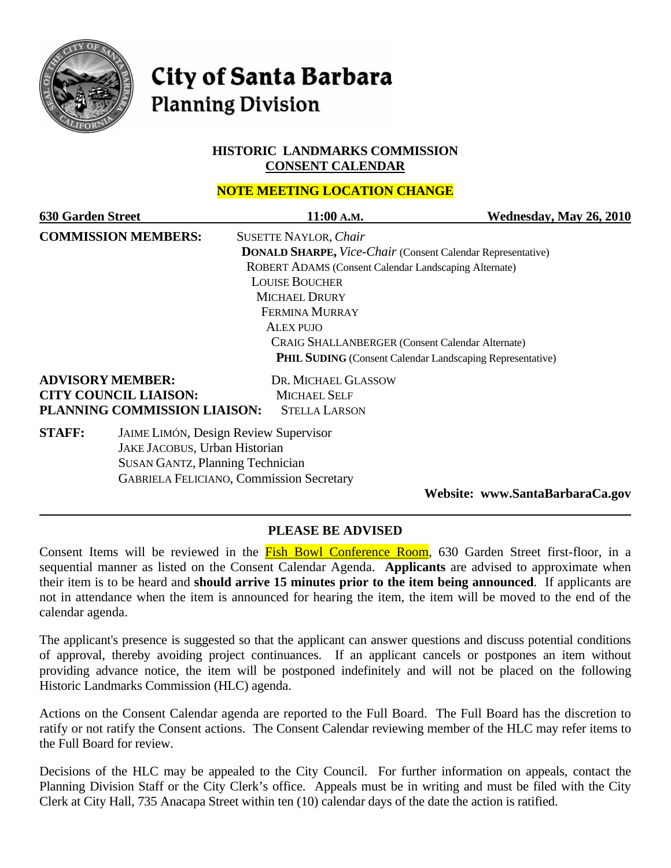

# **City of Santa Barbara Planning Division**

#### **HISTORIC LANDMARKS COMMISSION CONSENT CALENDAR**

# **NOTE MEETING LOCATION CHANGE**

| <b>630 Garden Street</b>   |                                                                    | 11:00 A.M.                                                       | Wednesday, May 26, 2010 |  |  |
|----------------------------|--------------------------------------------------------------------|------------------------------------------------------------------|-------------------------|--|--|
| <b>COMMISSION MEMBERS:</b> |                                                                    | <b>SUSETTE NAYLOR, Chair</b>                                     |                         |  |  |
|                            | <b>DONALD SHARPE, Vice-Chair (Consent Calendar Representative)</b> |                                                                  |                         |  |  |
|                            |                                                                    | ROBERT ADAMS (Consent Calendar Landscaping Alternate)            |                         |  |  |
|                            |                                                                    | <b>LOUISE BOUCHER</b>                                            |                         |  |  |
|                            |                                                                    | <b>MICHAEL DRURY</b>                                             |                         |  |  |
|                            |                                                                    | <b>FERMINA MURRAY</b>                                            |                         |  |  |
|                            |                                                                    | <b>ALEX PUJO</b>                                                 |                         |  |  |
|                            |                                                                    | <b>CRAIG SHALLANBERGER (Consent Calendar Alternate)</b>          |                         |  |  |
|                            |                                                                    | <b>PHIL SUDING</b> (Consent Calendar Landscaping Representative) |                         |  |  |
|                            | <b>ADVISORY MEMBER:</b>                                            | DR. MICHAEL GLASSOW                                              |                         |  |  |
|                            | <b>CITY COUNCIL LIAISON:</b>                                       | <b>MICHAEL SELF</b>                                              |                         |  |  |
|                            | PLANNING COMMISSION LIAISON:                                       | <b>STELLA LARSON</b>                                             |                         |  |  |
| <b>STAFF:</b>              |                                                                    | <b>JAIME LIMÓN, Design Review Supervisor</b>                     |                         |  |  |
|                            | JAKE JACOBUS, Urban Historian                                      |                                                                  |                         |  |  |
|                            | <b>SUSAN GANTZ, Planning Technician</b>                            |                                                                  |                         |  |  |
|                            |                                                                    | <b>GABRIELA FELICIANO, Commission Secretary</b>                  |                         |  |  |
|                            |                                                                    |                                                                  |                         |  |  |

**Website: www.SantaBarbaraCa.gov** 

# **PLEASE BE ADVISED**

Consent Items will be reviewed in the Fish Bowl Conference Room, 630 Garden Street first-floor, in a sequential manner as listed on the Consent Calendar Agenda. **Applicants** are advised to approximate when their item is to be heard and **should arrive 15 minutes prior to the item being announced**. If applicants are not in attendance when the item is announced for hearing the item, the item will be moved to the end of the calendar agenda.

The applicant's presence is suggested so that the applicant can answer questions and discuss potential conditions of approval, thereby avoiding project continuances. If an applicant cancels or postpones an item without providing advance notice, the item will be postponed indefinitely and will not be placed on the following Historic Landmarks Commission (HLC) agenda.

Actions on the Consent Calendar agenda are reported to the Full Board. The Full Board has the discretion to ratify or not ratify the Consent actions. The Consent Calendar reviewing member of the HLC may refer items to the Full Board for review.

Decisions of the HLC may be appealed to the City Council. For further information on appeals, contact the Planning Division Staff or the City Clerk's office. Appeals must be in writing and must be filed with the City Clerk at City Hall, 735 Anacapa Street within ten (10) calendar days of the date the action is ratified.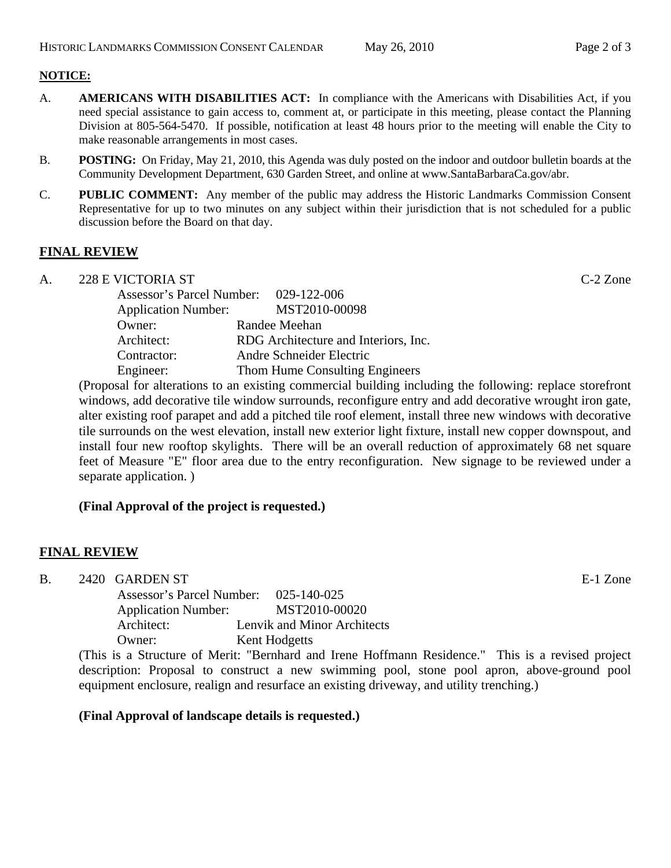- A. **AMERICANS WITH DISABILITIES ACT:** In compliance with the Americans with Disabilities Act, if you need special assistance to gain access to, comment at, or participate in this meeting, please contact the Planning Division at 805-564-5470. If possible, notification at least 48 hours prior to the meeting will enable the City to make reasonable arrangements in most cases.
- B. **POSTING:** On Friday, May 21, 2010, this Agenda was duly posted on the indoor and outdoor bulletin boards at the Community Development Department, 630 Garden Street, and online at www.SantaBarbaraCa.gov/abr.
- C. **PUBLIC COMMENT:** Any member of the public may address the Historic Landmarks Commission Consent Representative for up to two minutes on any subject within their jurisdiction that is not scheduled for a public discussion before the Board on that day.

# **FINAL REVIEW**

A. 228 E VICTORIA ST C-2 Zone

| Assessor's Parcel Number: 029-122-006 |                                      |
|---------------------------------------|--------------------------------------|
| <b>Application Number:</b>            | MST2010-00098                        |
| Owner:                                | Randee Meehan                        |
| Architect:                            | RDG Architecture and Interiors, Inc. |
| Contractor:                           | Andre Schneider Electric             |
| Engineer:                             | Thom Hume Consulting Engineers       |

(Proposal for alterations to an existing commercial building including the following: replace storefront windows, add decorative tile window surrounds, reconfigure entry and add decorative wrought iron gate, alter existing roof parapet and add a pitched tile roof element, install three new windows with decorative tile surrounds on the west elevation, install new exterior light fixture, install new copper downspout, and install four new rooftop skylights. There will be an overall reduction of approximately 68 net square feet of Measure "E" floor area due to the entry reconfiguration. New signage to be reviewed under a separate application. )

# **(Final Approval of the project is requested.)**

# **FINAL REVIEW**

B. 2420 GARDEN ST E-1 Zone

Assessor's Parcel Number: 025-140-025 Application Number: MST2010-00020 Architect: Lenvik and Minor Architects Owner: Kent Hodgetts

(This is a Structure of Merit: "Bernhard and Irene Hoffmann Residence." This is a revised project description: Proposal to construct a new swimming pool, stone pool apron, above-ground pool equipment enclosure, realign and resurface an existing driveway, and utility trenching.)

#### **(Final Approval of landscape details is requested.)**